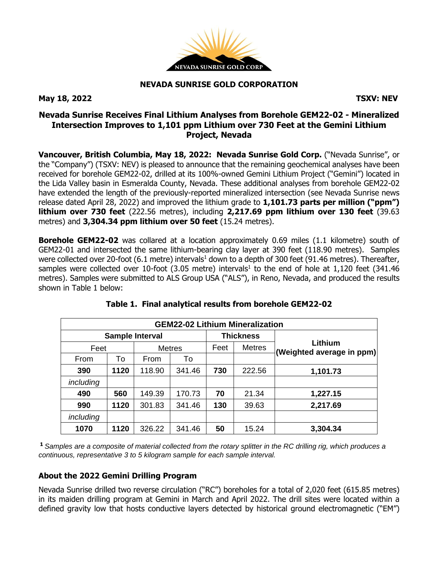

#### **NEVADA SUNRISE GOLD CORPORATION**

**May 18, 2022 TSXV: NEV**

## **Nevada Sunrise Receives Final Lithium Analyses from Borehole GEM22-02 - Mineralized Intersection Improves to 1,101 ppm Lithium over 730 Feet at the Gemini Lithium Project, Nevada**

**Vancouver, British Columbia, May 18, 2022: Nevada Sunrise Gold Corp.** ("Nevada Sunrise", or the "Company") (TSXV: NEV) is pleased to announce that the remaining geochemical analyses have been received for borehole GEM22-02, drilled at its 100%-owned Gemini Lithium Project ("Gemini") located in the Lida Valley basin in Esmeralda County, Nevada. These additional analyses from borehole GEM22-02 have extended the length of the previously-reported mineralized intersection (see Nevada Sunrise news release dated April 28, 2022) and improved the lithium grade to **1,101.73 parts per million ("ppm") lithium over 730 feet** (222.56 metres), including **2,217.69 ppm lithium over 130 feet** (39.63 metres) and **3,304.34 ppm lithium over 50 feet** (15.24 metres).

**Borehole GEM22-02** was collared at a location approximately 0.69 miles (1.1 kilometre) south of GEM22-01 and intersected the same lithium-bearing clay layer at 390 feet (118.90 metres). Samples were collected over 20-foot (6.1 metre) intervals<sup>1</sup> down to a depth of 300 feet (91.46 metres). Thereafter, samples were collected over 10-foot (3.05 metre) intervals<sup>1</sup> to the end of hole at 1,120 feet (341.46 metres). Samples were submitted to ALS Group USA ("ALS"), in Reno, Nevada, and produced the results shown in Table 1 below:

| <b>GEM22-02 Lithium Mineralization</b> |      |               |        |                  |               |                                      |
|----------------------------------------|------|---------------|--------|------------------|---------------|--------------------------------------|
| <b>Sample Interval</b>                 |      |               |        | <b>Thickness</b> |               |                                      |
| Feet                                   |      | <b>Metres</b> |        | Feet             | <b>Metres</b> | Lithium<br>(Weighted average in ppm) |
| From                                   | To   | From          | To     |                  |               |                                      |
| 390                                    | 1120 | 118.90        | 341.46 | 730              | 222.56        | 1,101.73                             |
| including                              |      |               |        |                  |               |                                      |
| 490                                    | 560  | 149.39        | 170.73 | 70               | 21.34         | 1,227.15                             |
| 990                                    | 1120 | 301.83        | 341.46 | 130              | 39.63         | 2,217.69                             |
| including                              |      |               |        |                  |               |                                      |
| 1070                                   | 1120 | 326.22        | 341.46 | 50               | 15.24         | 3,304.34                             |

# **Table 1. Final analytical results from borehole GEM22-02**

<sup>1</sup> Samples are a composite of material collected from the rotary splitter in the RC drilling rig, which produces a *continuous, representative 3 to 5 kilogram sample for each sample interval.*

### **About the 2022 Gemini Drilling Program**

Nevada Sunrise drilled two reverse circulation ("RC") boreholes for a total of 2,020 feet (615.85 metres) in its maiden drilling program at Gemini in March and April 2022. The drill sites were located within a defined gravity low that hosts conductive layers detected by historical ground electromagnetic ("EM")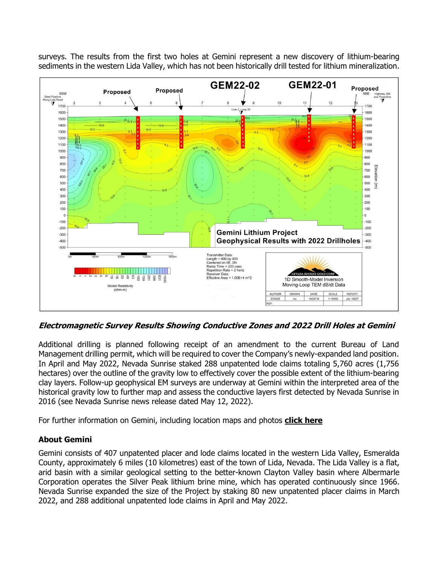surveys. The results from the first two holes at Gemini represent a new discovery of lithium-bearing sediments in the western Lida Valley, which has not been historically drill tested for lithium mineralization.



**Electromagnetic Survey Results Showing Conductive Zones and 2022 Drill Holes at Gemini**

Additional drilling is planned following receipt of an amendment to the current Bureau of Land Management drilling permit, which will be required to cover the Company's newly-expanded land position. In April and May 2022, Nevada Sunrise staked 288 unpatented lode claims totaling 5,760 acres (1,756 hectares) over the outline of the gravity low to effectively cover the possible extent of the lithium-bearing clay layers. Follow-up geophysical EM surveys are underway at Gemini within the interpreted area of the historical gravity low to further map and assess the conductive layers first detected by Nevada Sunrise in 2016 (see Nevada Sunrise news release dated May 12, 2022).

For further information on Gemini, including location maps and photos **[click](https://www.nevadasunrise.ca/projects/nevadalithium/) here**

### **About Gemini**

Gemini consists of 407 unpatented placer and lode claims located in the western Lida Valley, Esmeralda County, approximately 6 miles (10 kilometres) east of the town of Lida, Nevada. The Lida Valley is a flat, arid basin with a similar geological setting to the better-known Clayton Valley basin where Albermarle Corporation operates the Silver Peak lithium brine mine, which has operated continuously since 1966. Nevada Sunrise expanded the size of the Project by staking 80 new unpatented placer claims in March 2022, and 288 additional unpatented lode claims in April and May 2022.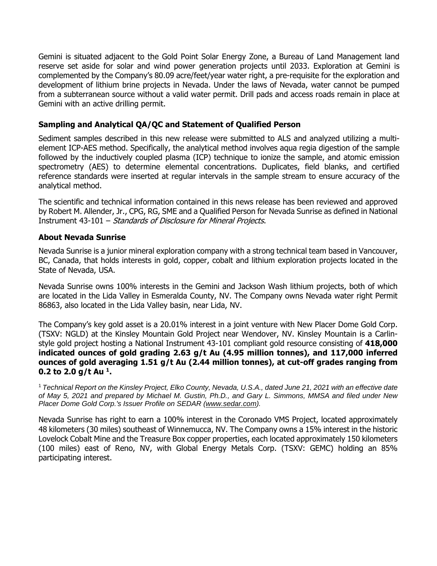Gemini is situated adjacent to the Gold Point Solar Energy Zone, a Bureau of Land Management land reserve set aside for solar and wind power generation projects until 2033. Exploration at Gemini is complemented by the Company's 80.09 acre/feet/year water right, a pre-requisite for the exploration and development of lithium brine projects in Nevada. Under the laws of Nevada, water cannot be pumped from a subterranean source without a valid water permit. Drill pads and access roads remain in place at Gemini with an active drilling permit.

#### **Sampling and Analytical QA/QC and Statement of Qualified Person**

Sediment samples described in this new release were submitted to ALS and analyzed utilizing a multielement ICP-AES method. Specifically, the analytical method involves aqua regia digestion of the sample followed by the inductively coupled plasma (ICP) technique to ionize the sample, and atomic emission spectrometry (AES) to determine elemental concentrations. Duplicates, field blanks, and certified reference standards were inserted at regular intervals in the sample stream to ensure accuracy of the analytical method.

The scientific and technical information contained in this news release has been reviewed and approved by Robert M. Allender, Jr., CPG, RG, SME and a Qualified Person for Nevada Sunrise as defined in National Instrument 43-101 – Standards of Disclosure for Mineral Projects.

#### **About Nevada Sunrise**

Nevada Sunrise is a junior mineral exploration company with a strong technical team based in Vancouver, BC, Canada, that holds interests in gold, copper, cobalt and lithium exploration projects located in the State of Nevada, USA.

Nevada Sunrise owns 100% interests in the Gemini and Jackson Wash lithium projects, both of which are located in the Lida Valley in Esmeralda County, NV. The Company owns Nevada water right Permit 86863, also located in the Lida Valley basin, near Lida, NV.

The Company's key gold asset is a 20.01% interest in a joint venture with New Placer Dome Gold Corp. (TSXV: NGLD) at the Kinsley Mountain Gold Project near Wendover, NV. Kinsley Mountain is a Carlinstyle gold project hosting a National Instrument 43-101 compliant gold resource consisting of **418,000 indicated ounces of gold grading 2.63 g/t Au (4.95 million tonnes), and 117,000 inferred ounces of gold averaging 1.51 g/t Au (2.44 million tonnes), at cut-off grades ranging from 0.2 to 2.0 g/t Au <sup>1</sup> .**

<sup>1</sup> Technical Report on the Kinsley Project, Elko County, Nevada, U.S.A., dated June 21, 2021 with an effective date of May 5, 2021 and prepared by Michael M. Gustin, Ph.D., and Gary L. Simmons, MMSA and filed under New *Placer Dome Gold Corp.'s Issuer Profile on SEDAR [\(www.sedar.com\)](https://c212.net/c/link/?t=0&l=en&o=3232825-1&h=4288497972&u=http%3A%2F%2Fwww.sedar.com%2F&a=www.sedar.com).*

Nevada Sunrise has right to earn a 100% interest in the Coronado VMS Project, located approximately 48 kilometers (30 miles) southeast of Winnemucca, NV. The Company owns a 15% interest in the historic Lovelock Cobalt Mine and the Treasure Box copper properties, each located approximately 150 kilometers (100 miles) east of Reno, NV, with Global Energy Metals Corp. (TSXV: GEMC) holding an 85% participating interest.